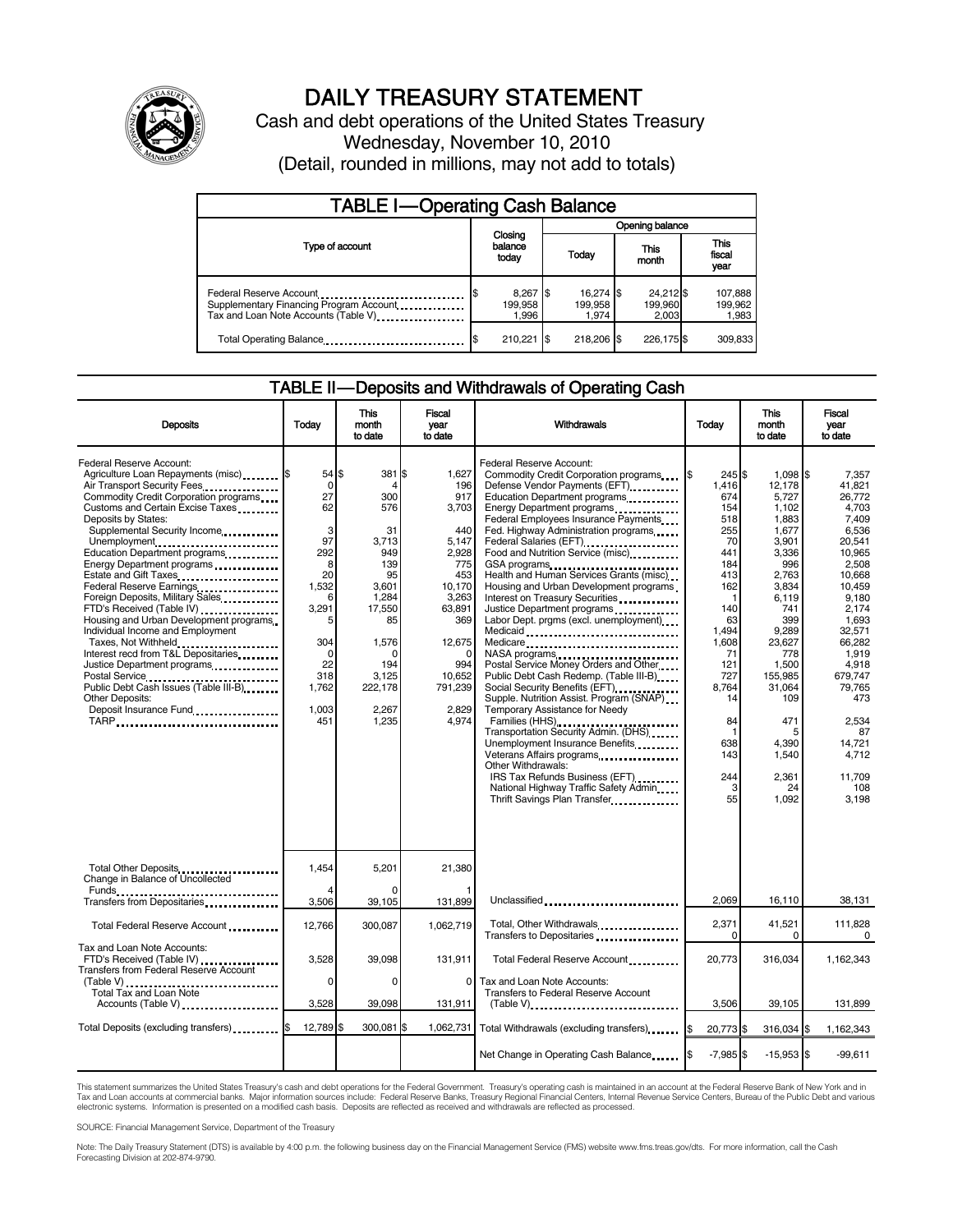

# DAILY TREASURY STATEMENT

Cash and debt operations of the United States Treasury Wednesday, November 10, 2010 (Detail, rounded in millions, may not add to totals)

| <b>TABLE I-Operating Cash Balance</b>                                                                      |                                      |                               |                               |                             |  |  |
|------------------------------------------------------------------------------------------------------------|--------------------------------------|-------------------------------|-------------------------------|-----------------------------|--|--|
|                                                                                                            |                                      | Opening balance               |                               |                             |  |  |
| Type of account                                                                                            | Closing<br>balance<br>today          | This<br>Today<br>month        |                               | This<br>fiscal<br>year      |  |  |
| Federal Reserve Account<br>Supplementary Financing Program Account<br>Tax and Loan Note Accounts (Table V) | $8,267$ \$<br>\$<br>199,958<br>1.996 | 16,274 \$<br>199.958<br>1.974 | 24,212 \$<br>199,960<br>2.003 | 107,888<br>199,962<br>1,983 |  |  |
| Total Operating Balance                                                                                    | 210.221 \$                           | 218,206 \$                    | 226,175 \$                    | 309,833                     |  |  |

#### TABLE II — Deposits and Withdrawals of Operating Cash

| <b>Deposits</b>                                                                                                                                                                                                                                                                                                                                                                                                                                                                                                                                                                                                                                                                                                          | Todav                                                                                                                                         | This<br>month<br>to date                                                                                                                     | Fiscal<br>year<br>to date                                                                                                                                              | Withdrawals                                                                                                                                                                                                                                                                                                                                                                                                                                                                                                                                                                                                                                                                                                                                                                                                                                                                                                                                                                                                          | Todav                                                                                                                                                                                        | <b>This</b><br>month<br>to date                                                                                                                                                                                                            | Fiscal<br>vear<br>to date                                                                                                                                                                                                                                      |
|--------------------------------------------------------------------------------------------------------------------------------------------------------------------------------------------------------------------------------------------------------------------------------------------------------------------------------------------------------------------------------------------------------------------------------------------------------------------------------------------------------------------------------------------------------------------------------------------------------------------------------------------------------------------------------------------------------------------------|-----------------------------------------------------------------------------------------------------------------------------------------------|----------------------------------------------------------------------------------------------------------------------------------------------|------------------------------------------------------------------------------------------------------------------------------------------------------------------------|----------------------------------------------------------------------------------------------------------------------------------------------------------------------------------------------------------------------------------------------------------------------------------------------------------------------------------------------------------------------------------------------------------------------------------------------------------------------------------------------------------------------------------------------------------------------------------------------------------------------------------------------------------------------------------------------------------------------------------------------------------------------------------------------------------------------------------------------------------------------------------------------------------------------------------------------------------------------------------------------------------------------|----------------------------------------------------------------------------------------------------------------------------------------------------------------------------------------------|--------------------------------------------------------------------------------------------------------------------------------------------------------------------------------------------------------------------------------------------|----------------------------------------------------------------------------------------------------------------------------------------------------------------------------------------------------------------------------------------------------------------|
| Federal Reserve Account:<br>Agriculture Loan Repayments (misc) <b>S</b><br>Air Transport Security Fees<br>Commodity Credit Corporation programs<br>Customs and Certain Excise Taxes<br>Deposits by States:<br>Supplemental Security Income<br>Unemployment<br>Education Department programs<br>Energy Department programs<br>Federal Reserve Earnings<br>Foreign Deposits, Military Sales<br>FTD's Received (Table IV)<br>Housing and Urban Development programs<br>Individual Income and Employment<br>Taxes, Not Withheld<br>Interest recd from T&L Depositaries<br>Justice Department programs<br>Postal Service<br>Public Debt Cash Issues (Table III-B)<br><b>Other Deposits:</b><br>Deposit Insurance Fund<br>TARP | 54 \$<br>$\mathbf 0$<br>27<br>62<br>3<br>97<br>292<br>8<br>20<br>1,532<br>6<br>3,291<br>304<br>$\Omega$<br>22<br>318<br>1,762<br>1,003<br>451 | 381<br>300<br>576<br>31<br>3,713<br>949<br>139<br>95<br>3,601<br>1,284<br>17,550<br>85<br>1,576<br>194<br>3,125<br>222,178<br>2,267<br>1,235 | 1,627<br>I\$<br>196<br>917<br>3,703<br>440<br>5,147<br>2,928<br>775<br>453<br>10,170<br>3,263<br>63,891<br>369<br>12,675<br>994<br>10,652<br>791,239<br>2,829<br>4.974 | Federal Reserve Account:<br>Commodity Credit Corporation programs<br>Defense Vendor Payments (EFT)<br>Education Department programs<br>Energy Department programs<br>Federal Employees Insurance Payments<br>Fed. Highway Administration programs<br>Federal Salaries (EFT)<br>Federal Salaries (EFT)<br>Food and Nutrition Service (misc)<br>Health and Human Services Grants (misc)<br>Housing and Urban Development programs<br>Interest on Treasury Securities<br>Justice Department programs<br>Labor Dept. prgms (excl. unemployment)<br>Medicaid<br>Medicare<br>NASA programs<br>Postal Service Money Orders and Other<br>Public Debt Cash Redemp. (Table III-B)<br>Supple. Nutrition Assist. Program (SNAP)<br>Temporary Assistance for Needy<br>Families (HHS)<br>Transportation Security Admin. (DHS)<br>Unemployment Insurance Benefits<br>Veterans Affairs programs<br><br>Other Withdrawals:<br>IRS Tax Refunds Business (EFT)<br>National Highway Traffic Safety Admin<br>Thrift Savings Plan Transfer | 245 \$<br>1.416<br>674<br>154<br>518<br>255<br>70<br>441<br>184<br>413<br>162<br>-1<br>140<br>63<br>1,494<br>1,608<br>71<br>121<br>727<br>8,764<br>14<br>84<br>-1<br>638<br>143<br>244<br>55 | $1,098$ \$<br>12.178<br>5,727<br>1,102<br>1,883<br>1.677<br>3,901<br>3,336<br>996<br>2,763<br>3,834<br>6,119<br>741<br>399<br>9,289<br>23,627<br>778<br>1,500<br>155,985<br>31,064<br>109<br>471<br>4.390<br>1,540<br>2,361<br>24<br>1,092 | 7.357<br>41.821<br>26,772<br>4,703<br>7,409<br>6.536<br>20,541<br>10,965<br>2,508<br>10.668<br>10,459<br>9,180<br>2.174<br>1,693<br>32,571<br>66.282<br>1.919<br>4,918<br>679,747<br>79,765<br>473<br>2,534<br>87<br>14.721<br>4,712<br>11.709<br>108<br>3,198 |
| Total Other Deposits<br>Change in Balance of Uncollected                                                                                                                                                                                                                                                                                                                                                                                                                                                                                                                                                                                                                                                                 | 1.454                                                                                                                                         | 5.201                                                                                                                                        | 21.380                                                                                                                                                                 |                                                                                                                                                                                                                                                                                                                                                                                                                                                                                                                                                                                                                                                                                                                                                                                                                                                                                                                                                                                                                      |                                                                                                                                                                                              |                                                                                                                                                                                                                                            |                                                                                                                                                                                                                                                                |
| Funds<br>Transfers from Depositaries                                                                                                                                                                                                                                                                                                                                                                                                                                                                                                                                                                                                                                                                                     | 3,506                                                                                                                                         | 39,105                                                                                                                                       | 131,899                                                                                                                                                                | Unclassified                                                                                                                                                                                                                                                                                                                                                                                                                                                                                                                                                                                                                                                                                                                                                                                                                                                                                                                                                                                                         | 2.069                                                                                                                                                                                        | 16,110                                                                                                                                                                                                                                     | 38,131                                                                                                                                                                                                                                                         |
| Total Federal Reserve Account                                                                                                                                                                                                                                                                                                                                                                                                                                                                                                                                                                                                                                                                                            | 12,766                                                                                                                                        | 300,087                                                                                                                                      | 1,062,719                                                                                                                                                              | Total, Other Withdrawals<br>Transfers to Depositaries                                                                                                                                                                                                                                                                                                                                                                                                                                                                                                                                                                                                                                                                                                                                                                                                                                                                                                                                                                | 2,371<br>$\Omega$                                                                                                                                                                            | 41,521<br>0                                                                                                                                                                                                                                | 111,828<br>$\Omega$                                                                                                                                                                                                                                            |
| Tax and Loan Note Accounts:<br>FTD's Received (Table IV)<br>Transfers from Federal Reserve Account                                                                                                                                                                                                                                                                                                                                                                                                                                                                                                                                                                                                                       | 3.528                                                                                                                                         | 39.098                                                                                                                                       | 131,911                                                                                                                                                                | Total Federal Reserve Account                                                                                                                                                                                                                                                                                                                                                                                                                                                                                                                                                                                                                                                                                                                                                                                                                                                                                                                                                                                        | 20,773                                                                                                                                                                                       | 316,034                                                                                                                                                                                                                                    | 1,162,343                                                                                                                                                                                                                                                      |
| (Table V)<br>Total Tax and Loan Note<br>Accounts (Table V)                                                                                                                                                                                                                                                                                                                                                                                                                                                                                                                                                                                                                                                               | $\Omega$<br>3,528                                                                                                                             | $\Omega$<br>39,098                                                                                                                           | $\Omega$<br>131,911                                                                                                                                                    | Tax and Loan Note Accounts:<br>Transfers to Federal Reserve Account<br>$(Table V)$                                                                                                                                                                                                                                                                                                                                                                                                                                                                                                                                                                                                                                                                                                                                                                                                                                                                                                                                   | 3,506                                                                                                                                                                                        | 39,105                                                                                                                                                                                                                                     | 131,899                                                                                                                                                                                                                                                        |
| Total Deposits (excluding transfers) [1000]                                                                                                                                                                                                                                                                                                                                                                                                                                                                                                                                                                                                                                                                              | 12,789                                                                                                                                        | 300,081                                                                                                                                      | 1,062,731                                                                                                                                                              | Total Withdrawals (excluding transfers)                                                                                                                                                                                                                                                                                                                                                                                                                                                                                                                                                                                                                                                                                                                                                                                                                                                                                                                                                                              | 20,773 \$<br>I\$                                                                                                                                                                             | 316,034 \$                                                                                                                                                                                                                                 | 1,162,343                                                                                                                                                                                                                                                      |
|                                                                                                                                                                                                                                                                                                                                                                                                                                                                                                                                                                                                                                                                                                                          |                                                                                                                                               |                                                                                                                                              |                                                                                                                                                                        | Net Change in Operating Cash Balance                                                                                                                                                                                                                                                                                                                                                                                                                                                                                                                                                                                                                                                                                                                                                                                                                                                                                                                                                                                 | $-7,985$ \$                                                                                                                                                                                  | $-15,953$ \$                                                                                                                                                                                                                               | $-99,611$                                                                                                                                                                                                                                                      |

This statement summarizes the United States Treasury's cash and debt operations for the Federal Government. Treasury's operating cash is maintained in an account at the Federal Reserve Bank of New York and in<br>Tax and Loan electronic systems. Information is presented on a modified cash basis. Deposits are reflected as received and withdrawals are reflected as processed.

SOURCE: Financial Management Service, Department of the Treasury

Note: The Daily Treasury Statement (DTS) is available by 4:00 p.m. the following business day on the Financial Management Service (FMS) website www.fms.treas.gov/dts. For more information, call the Cash Forecasting Division at 202-874-9790.